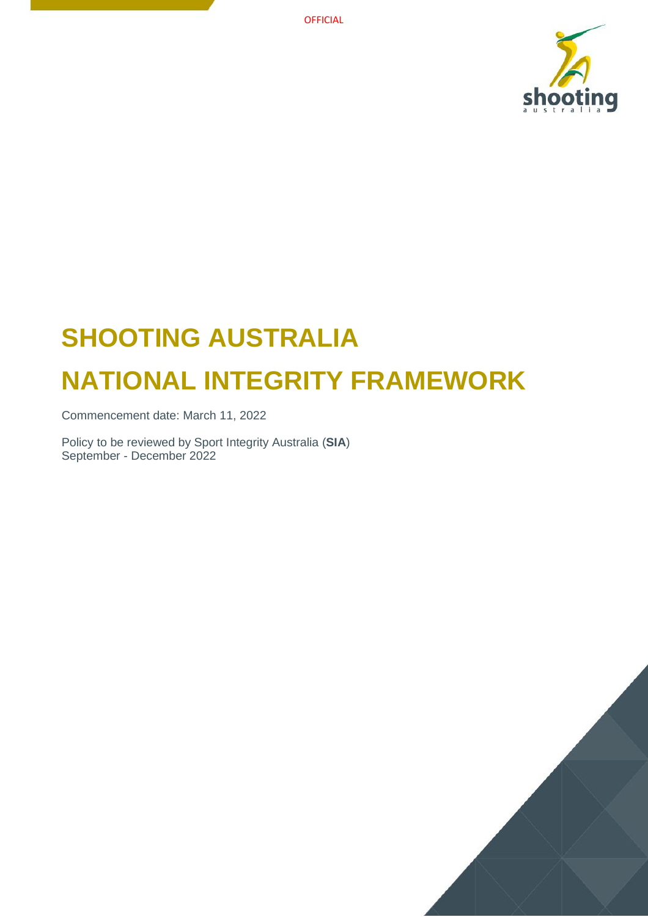

# **SHOOTING AUSTRALIA NATIONAL INTEGRITY FRAMEWORK**

Commencement date: March 11, 2022

Policy to be reviewed by Sport Integrity Australia (**SIA**) September - December 2022

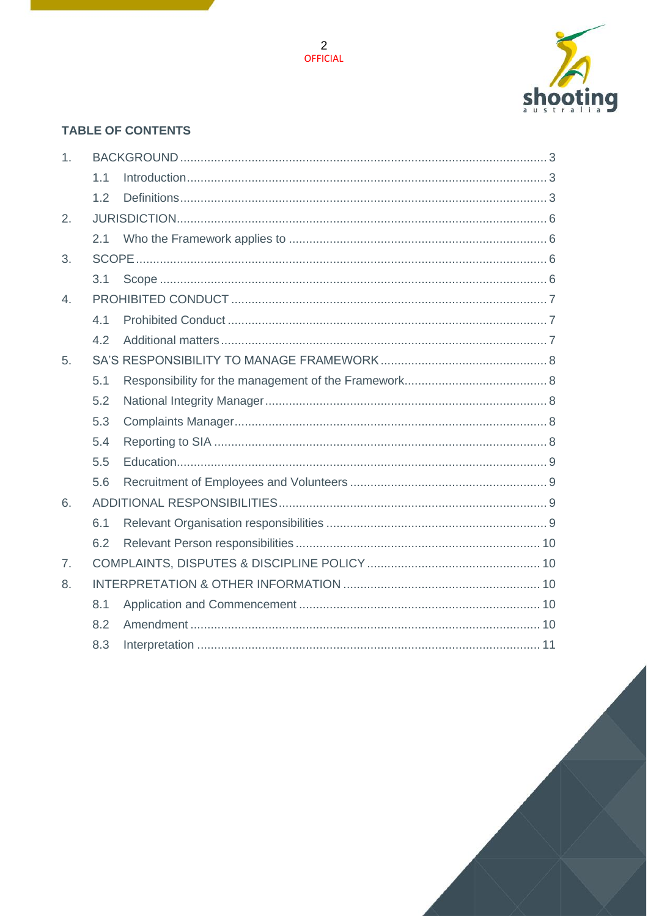

## **TABLE OF CONTENTS**

| 1.             |     |  |  |
|----------------|-----|--|--|
|                | 1.1 |  |  |
|                | 1.2 |  |  |
| 2.             |     |  |  |
|                | 2.1 |  |  |
| 3.             |     |  |  |
|                | 3.1 |  |  |
| $\overline{4}$ |     |  |  |
|                | 4.1 |  |  |
|                | 4.2 |  |  |
| 5.             |     |  |  |
|                | 5.1 |  |  |
|                | 5.2 |  |  |
|                | 5.3 |  |  |
|                | 5.4 |  |  |
|                | 5.5 |  |  |
|                | 5.6 |  |  |
| 6.             |     |  |  |
|                | 6.1 |  |  |
|                | 6.2 |  |  |
| 7 <sub>1</sub> |     |  |  |
| 8.             |     |  |  |
|                | 8.1 |  |  |
|                | 8.2 |  |  |
|                | 8.3 |  |  |

2<br>OFFICIAL

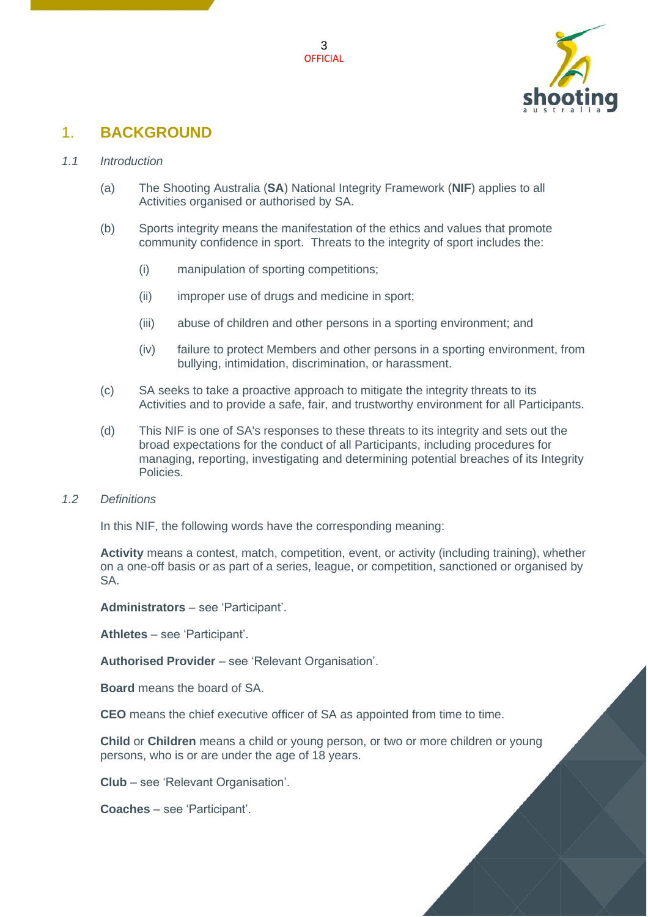



## <span id="page-2-0"></span>1. **BACKGROUND**

#### <span id="page-2-1"></span>*1.1 Introduction*

- (a) The Shooting Australia (**SA**) National Integrity Framework (**NIF**) applies to all Activities organised or authorised by SA.
- (b) Sports integrity means the manifestation of the ethics and values that promote community confidence in sport. Threats to the integrity of sport includes the:
	- (i) manipulation of sporting competitions;
	- (ii) improper use of drugs and medicine in sport;
	- (iii) abuse of children and other persons in a sporting environment; and
	- (iv) failure to protect Members and other persons in a sporting environment, from bullying, intimidation, discrimination, or harassment.
- (c) SA seeks to take a proactive approach to mitigate the integrity threats to its Activities and to provide a safe, fair, and trustworthy environment for all Participants.
- (d) This NIF is one of SA's responses to these threats to its integrity and sets out the broad expectations for the conduct of all Participants, including procedures for managing, reporting, investigating and determining potential breaches of its Integrity Policies.
- <span id="page-2-2"></span>*1.2 Definitions*

In this NIF, the following words have the corresponding meaning:

**Activity** means a contest, match, competition, event, or activity (including training), whether on a one-off basis or as part of a series, league, or competition, sanctioned or organised by SA.

**Administrators** – see 'Participant'.

**Athletes** – see 'Participant'.

**Authorised Provider** – see 'Relevant Organisation'.

**Board** means the board of SA.

**CEO** means the chief executive officer of SA as appointed from time to time.

**Child** or **Children** means a child or young person, or two or more children or young persons, who is or are under the age of 18 years.

**Club** – see 'Relevant Organisation'.

**Coaches** – see 'Participant'.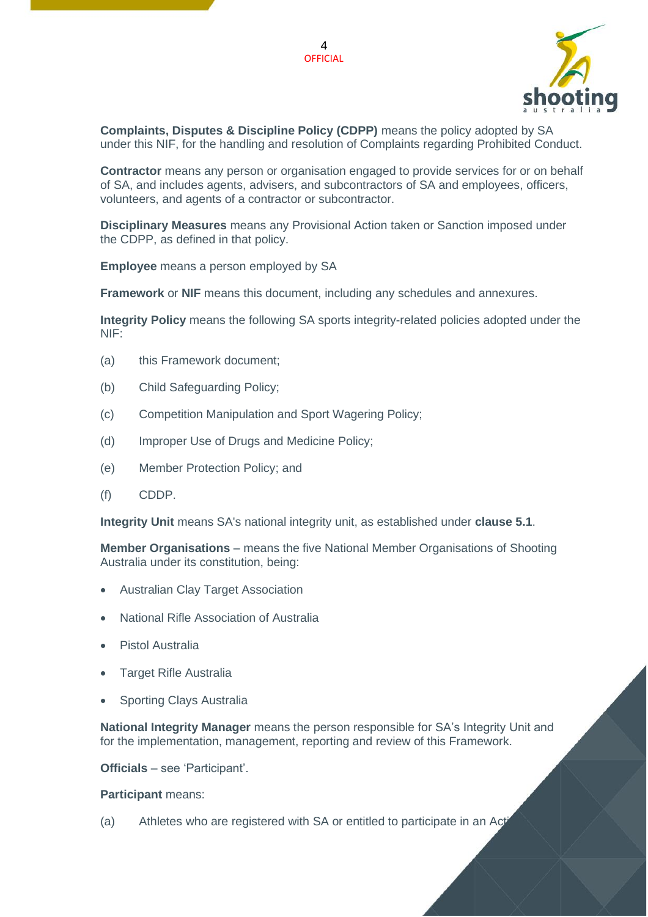



**Complaints, Disputes & Discipline Policy (CDPP)** means the policy adopted by SA under this NIF, for the handling and resolution of Complaints regarding Prohibited Conduct.

**Contractor** means any person or organisation engaged to provide services for or on behalf of SA, and includes agents, advisers, and subcontractors of SA and employees, officers, volunteers, and agents of a contractor or subcontractor.

**Disciplinary Measures** means any Provisional Action taken or Sanction imposed under the CDPP, as defined in that policy.

**Employee** means a person employed by SA

**Framework** or **NIF** means this document, including any schedules and annexures.

**Integrity Policy** means the following SA sports integrity-related policies adopted under the NIF:

- (a) this Framework document;
- (b) Child Safeguarding Policy;
- (c) Competition Manipulation and Sport Wagering Policy;
- (d) Improper Use of Drugs and Medicine Policy;
- (e) Member Protection Policy; and
- (f) CDDP.

**Integrity Unit** means SA's national integrity unit, as established under **clause [5.1](#page-7-1)**.

**Member Organisations** – means the five National Member Organisations of Shooting Australia under its constitution, being:

- Australian Clay Target Association
- National Rifle Association of Australia
- Pistol Australia
- Target Rifle Australia
- Sporting Clays Australia

**National Integrity Manager** means the person responsible for SA's Integrity Unit and for the implementation, management, reporting and review of this Framework.

**Officials** – see 'Participant'.

#### **Participant** means:

(a) Athletes who are registered with SA or entitled to participate in an Act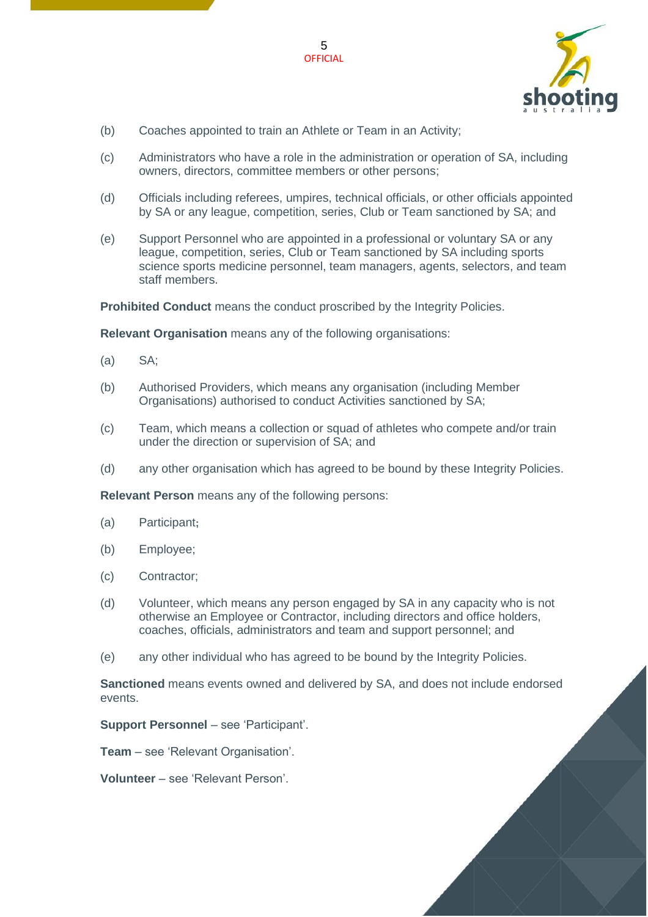

- (b) Coaches appointed to train an Athlete or Team in an Activity;
- (c) Administrators who have a role in the administration or operation of SA, including owners, directors, committee members or other persons;

- (d) Officials including referees, umpires, technical officials, or other officials appointed by SA or any league, competition, series, Club or Team sanctioned by SA; and
- (e) Support Personnel who are appointed in a professional or voluntary SA or any league, competition, series, Club or Team sanctioned by SA including sports science sports medicine personnel, team managers, agents, selectors, and team staff members.

**Prohibited Conduct** means the conduct proscribed by the Integrity Policies.

**Relevant Organisation** means any of the following organisations:

- (a) SA;
- (b) Authorised Providers, which means any organisation (including Member Organisations) authorised to conduct Activities sanctioned by SA;
- (c) Team, which means a collection or squad of athletes who compete and/or train under the direction or supervision of SA; and
- (d) any other organisation which has agreed to be bound by these Integrity Policies.

**Relevant Person** means any of the following persons:

- (a) Participant**;**
- (b) Employee;
- (c) Contractor;
- (d) Volunteer, which means any person engaged by SA in any capacity who is not otherwise an Employee or Contractor, including directors and office holders, coaches, officials, administrators and team and support personnel; and
- (e) any other individual who has agreed to be bound by the Integrity Policies.

**Sanctioned** means events owned and delivered by SA, and does not include endorsed events.

**Support Personnel – see 'Participant'.** 

**Team** – see 'Relevant Organisation'.

**Volunteer** – see 'Relevant Person'.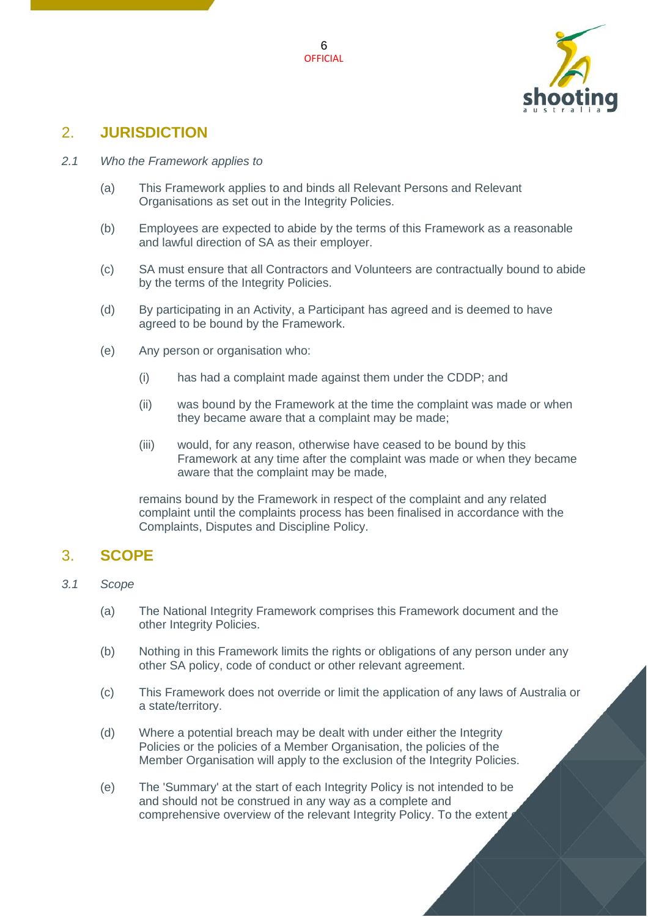

## <span id="page-5-0"></span>2. **JURISDICTION**

#### <span id="page-5-1"></span>*2.1 Who the Framework applies to*

- (a) This Framework applies to and binds all Relevant Persons and Relevant Organisations as set out in the Integrity Policies.
- (b) Employees are expected to abide by the terms of this Framework as a reasonable and lawful direction of SA as their employer.
- (c) SA must ensure that all Contractors and Volunteers are contractually bound to abide by the terms of the Integrity Policies.
- (d) By participating in an Activity, a Participant has agreed and is deemed to have agreed to be bound by the Framework.
- (e) Any person or organisation who:
	- (i) has had a complaint made against them under the CDDP; and
	- (ii) was bound by the Framework at the time the complaint was made or when they became aware that a complaint may be made;
	- (iii) would, for any reason, otherwise have ceased to be bound by this Framework at any time after the complaint was made or when they became aware that the complaint may be made,

remains bound by the Framework in respect of the complaint and any related complaint until the complaints process has been finalised in accordance with the Complaints, Disputes and Discipline Policy.

## <span id="page-5-2"></span>3. **SCOPE**

#### <span id="page-5-3"></span>*3.1 Scope*

- (a) The National Integrity Framework comprises this Framework document and the other Integrity Policies.
- (b) Nothing in this Framework limits the rights or obligations of any person under any other SA policy, code of conduct or other relevant agreement.
- (c) This Framework does not override or limit the application of any laws of Australia or a state/territory.
- (d) Where a potential breach may be dealt with under either the Integrity Policies or the policies of a Member Organisation, the policies of the Member Organisation will apply to the exclusion of the Integrity Policies.
- (e) The 'Summary' at the start of each Integrity Policy is not intended to be and should not be construed in any way as a complete and comprehensive overview of the relevant Integrity Policy. To the extent,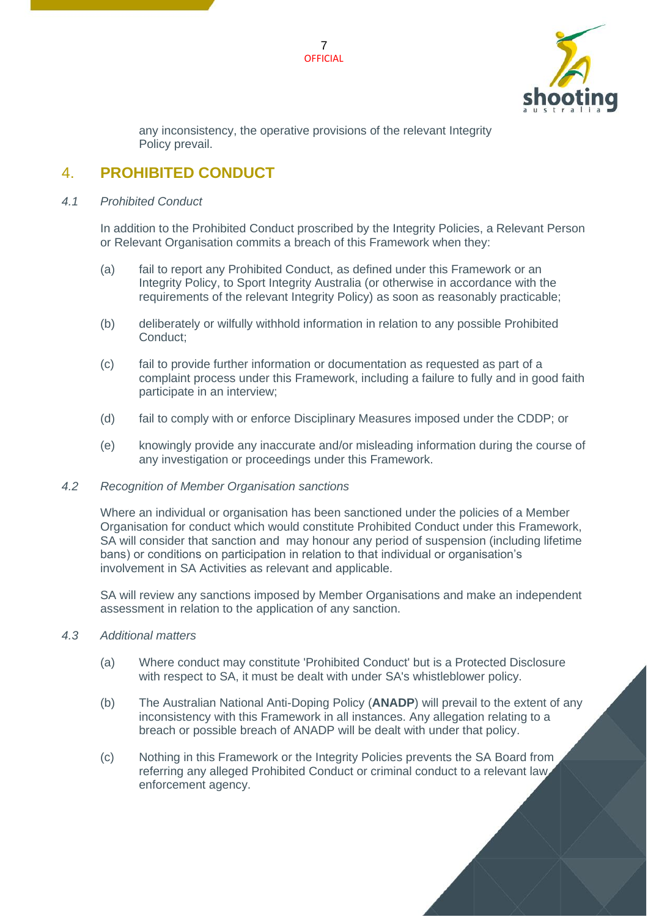



any inconsistency, the operative provisions of the relevant Integrity Policy prevail.

## <span id="page-6-0"></span>4. **PROHIBITED CONDUCT**

#### <span id="page-6-1"></span>*4.1 Prohibited Conduct*

In addition to the Prohibited Conduct proscribed by the Integrity Policies, a Relevant Person or Relevant Organisation commits a breach of this Framework when they:

- (a) fail to report any Prohibited Conduct, as defined under this Framework or an Integrity Policy, to Sport Integrity Australia (or otherwise in accordance with the requirements of the relevant Integrity Policy) as soon as reasonably practicable;
- (b) deliberately or wilfully withhold information in relation to any possible Prohibited Conduct;
- (c) fail to provide further information or documentation as requested as part of a complaint process under this Framework, including a failure to fully and in good faith participate in an interview;
- (d) fail to comply with or enforce Disciplinary Measures imposed under the CDDP; or
- (e) knowingly provide any inaccurate and/or misleading information during the course of any investigation or proceedings under this Framework.

#### <span id="page-6-2"></span>*4.2 Recognition of Member Organisation sanctions*

Where an individual or organisation has been sanctioned under the policies of a Member Organisation for conduct which would constitute Prohibited Conduct under this Framework, SA will consider that sanction and may honour any period of suspension (including lifetime bans) or conditions on participation in relation to that individual or organisation's involvement in SA Activities as relevant and applicable.

SA will review any sanctions imposed by Member Organisations and make an independent assessment in relation to the application of any sanction.

#### *4.3 Additional matters*

- (a) Where conduct may constitute 'Prohibited Conduct' but is a Protected Disclosure with respect to SA, it must be dealt with under SA's whistleblower policy.
- (b) The Australian National Anti-Doping Policy (**ANADP**) will prevail to the extent of any inconsistency with this Framework in all instances. Any allegation relating to a breach or possible breach of ANADP will be dealt with under that policy.
- (c) Nothing in this Framework or the Integrity Policies prevents the SA Board from referring any alleged Prohibited Conduct or criminal conduct to a relevant law enforcement agency.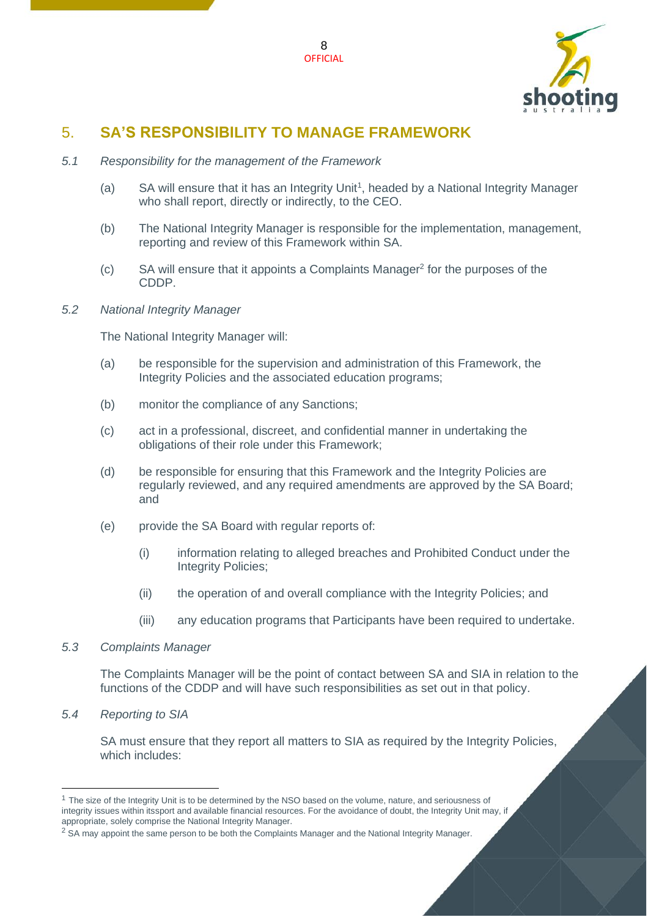

# <span id="page-7-0"></span>5. **SA'S RESPONSIBILITY TO MANAGE FRAMEWORK**

- <span id="page-7-1"></span>*5.1 Responsibility for the management of the Framework*
	- $(a)$  SA will ensure that it has an Integrity Unit<sup>1</sup>, headed by a National Integrity Manager who shall report, directly or indirectly, to the CEO.
	- (b) The National Integrity Manager is responsible for the implementation, management, reporting and review of this Framework within SA.
	- $(c)$  SA will ensure that it appoints a Complaints Manager<sup>2</sup> for the purposes of the CDDP.

#### <span id="page-7-2"></span>*5.2 National Integrity Manager*

The National Integrity Manager will:

- (a) be responsible for the supervision and administration of this Framework, the Integrity Policies and the associated education programs;
- (b) monitor the compliance of any Sanctions;
- (c) act in a professional, discreet, and confidential manner in undertaking the obligations of their role under this Framework;
- (d) be responsible for ensuring that this Framework and the Integrity Policies are regularly reviewed, and any required amendments are approved by the SA Board; and
- (e) provide the SA Board with regular reports of:
	- (i) information relating to alleged breaches and Prohibited Conduct under the Integrity Policies;
	- (ii) the operation of and overall compliance with the Integrity Policies; and
	- (iii) any education programs that Participants have been required to undertake.

#### <span id="page-7-3"></span>*5.3 Complaints Manager*

The Complaints Manager will be the point of contact between SA and SIA in relation to the functions of the CDDP and will have such responsibilities as set out in that policy.

<span id="page-7-4"></span>*5.4 Reporting to SIA*

SA must ensure that they report all matters to SIA as required by the Integrity Policies, which includes:

 $1$  The size of the Integrity Unit is to be determined by the NSO based on the volume, nature, and seriousness of integrity issues within itssport and available financial resources. For the avoidance of doubt, the Integrity Unit may, if appropriate, solely comprise the National Integrity Manager.

<sup>&</sup>lt;sup>2</sup> SA may appoint the same person to be both the Complaints Manager and the National Integrity Manager.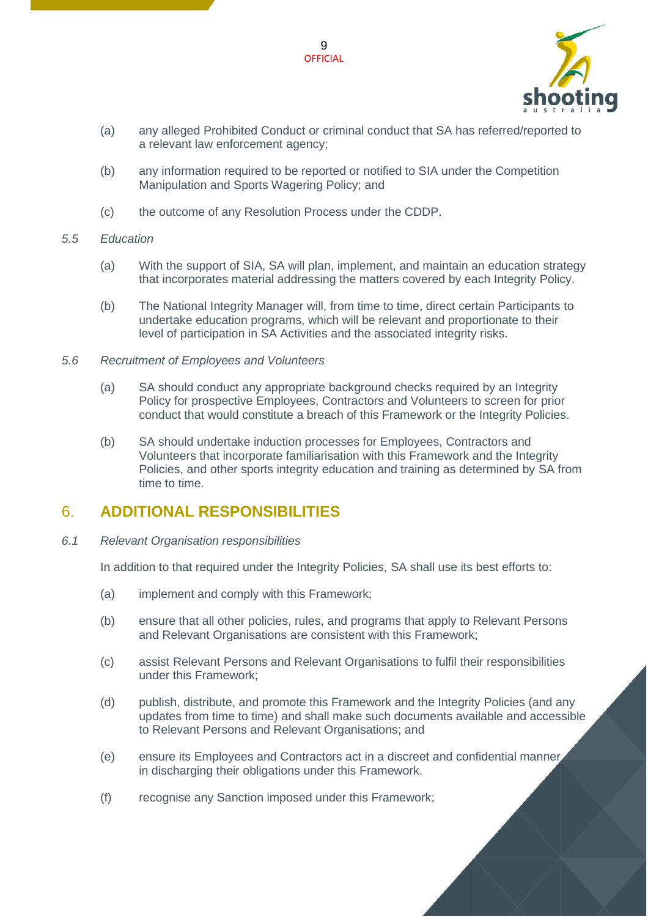

- (a) any alleged Prohibited Conduct or criminal conduct that SA has referred/reported to a relevant law enforcement agency;
- (b) any information required to be reported or notified to SIA under the Competition Manipulation and Sports Wagering Policy; and
- (c) the outcome of any Resolution Process under the CDDP.

#### <span id="page-8-0"></span>*5.5 Education*

- (a) With the support of SIA, SA will plan, implement, and maintain an education strategy that incorporates material addressing the matters covered by each Integrity Policy.
- (b) The National Integrity Manager will, from time to time, direct certain Participants to undertake education programs, which will be relevant and proportionate to their level of participation in SA Activities and the associated integrity risks.
- <span id="page-8-1"></span>*5.6 Recruitment of Employees and Volunteers*
	- (a) SA should conduct any appropriate background checks required by an Integrity Policy for prospective Employees, Contractors and Volunteers to screen for prior conduct that would constitute a breach of this Framework or the Integrity Policies.
	- (b) SA should undertake induction processes for Employees, Contractors and Volunteers that incorporate familiarisation with this Framework and the Integrity Policies, and other sports integrity education and training as determined by SA from time to time.

## <span id="page-8-2"></span>6. **ADDITIONAL RESPONSIBILITIES**

<span id="page-8-3"></span>*6.1 Relevant Organisation responsibilities*

In addition to that required under the Integrity Policies, SA shall use its best efforts to:

- (a) implement and comply with this Framework;
- (b) ensure that all other policies, rules, and programs that apply to Relevant Persons and Relevant Organisations are consistent with this Framework;
- (c) assist Relevant Persons and Relevant Organisations to fulfil their responsibilities under this Framework;
- (d) publish, distribute, and promote this Framework and the Integrity Policies (and any updates from time to time) and shall make such documents available and accessible to Relevant Persons and Relevant Organisations; and
- (e) ensure its Employees and Contractors act in a discreet and confidential manner in discharging their obligations under this Framework.
- (f) recognise any Sanction imposed under this Framework;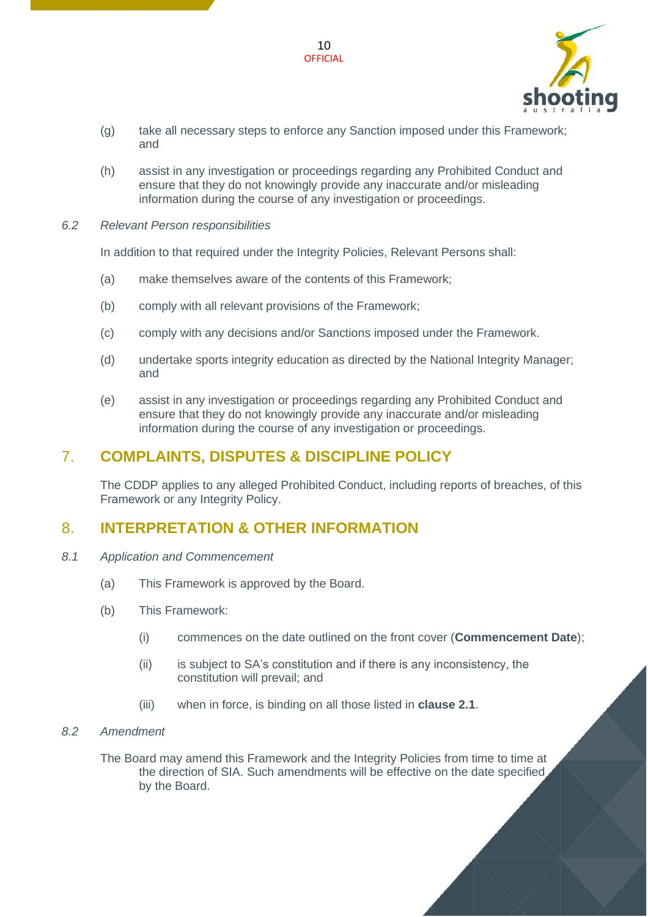

(g) take all necessary steps to enforce any Sanction imposed under this Framework; and

10 **OFFICIAL** 

- (h) assist in any investigation or proceedings regarding any Prohibited Conduct and ensure that they do not knowingly provide any inaccurate and/or misleading information during the course of any investigation or proceedings.
- <span id="page-9-0"></span>*6.2 Relevant Person responsibilities*

In addition to that required under the Integrity Policies, Relevant Persons shall:

- (a) make themselves aware of the contents of this Framework;
- (b) comply with all relevant provisions of the Framework;
- (c) comply with any decisions and/or Sanctions imposed under the Framework.
- (d) undertake sports integrity education as directed by the National Integrity Manager; and
- (e) assist in any investigation or proceedings regarding any Prohibited Conduct and ensure that they do not knowingly provide any inaccurate and/or misleading information during the course of any investigation or proceedings.

# <span id="page-9-1"></span>7. **COMPLAINTS, DISPUTES & DISCIPLINE POLICY**

The CDDP applies to any alleged Prohibited Conduct, including reports of breaches, of this Framework or any Integrity Policy.

# <span id="page-9-2"></span>8. **INTERPRETATION & OTHER INFORMATION**

- <span id="page-9-3"></span>*8.1 Application and Commencement*
	- (a) This Framework is approved by the Board.
	- (b) This Framework:
		- (i) commences on the date outlined on the front cover (**Commencement Date**);
		- (ii) is subject to SA's constitution and if there is any inconsistency, the constitution will prevail; and
		- (iii) when in force, is binding on all those listed in **clause [2.1](#page-5-1)**.
- <span id="page-9-4"></span>*8.2 Amendment*

The Board may amend this Framework and the Integrity Policies from time to time at the direction of SIA. Such amendments will be effective on the date specified by the Board.